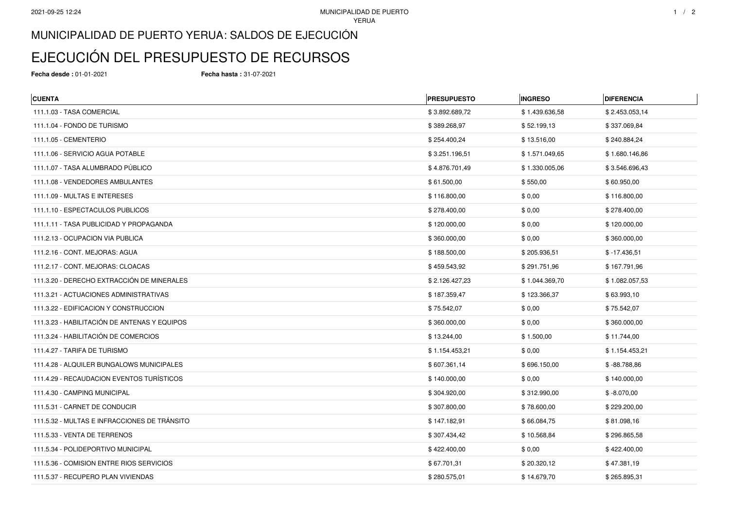## MUNICIPALIDAD DE PUERTO YERUA: SALDOS DE EJECUCIÓN

## EJECUCIÓN DEL PRESUPUESTO DE RECURSOS

**Fecha desde :** 01-01-2021 **Fecha hasta :** 31-07-2021

| <b>CUENTA</b>                                | <b>PRESUPUESTO</b> | <b>INGRESO</b> | <b>DIFERENCIA</b> |
|----------------------------------------------|--------------------|----------------|-------------------|
| 111.1.03 - TASA COMERCIAL                    | \$3.892.689,72     | \$1.439.636,58 | \$2.453.053,14    |
| 111.1.04 - FONDO DE TURISMO                  | \$389.268,97       | \$52.199,13    | \$337.069,84      |
| 111.1.05 - CEMENTERIO                        | \$254.400,24       | \$13.516,00    | \$240.884,24      |
| 111.1.06 - SERVICIO AGUA POTABLE             | \$3.251.196,51     | \$1.571.049,65 | \$1.680.146,86    |
| 111.1.07 - TASA ALUMBRADO PÚBLICO            | \$4.876.701,49     | \$1.330.005,06 | \$3.546.696,43    |
| 111.1.08 - VENDEDORES AMBULANTES             | \$61.500,00        | \$550,00       | \$60.950,00       |
| 111.1.09 - MULTAS E INTERESES                | \$116.800,00       | \$0,00         | \$116.800,00      |
| 111.1.10 - ESPECTACULOS PUBLICOS             | \$278.400,00       | \$0,00         | \$278.400,00      |
| 111.1.11 - TASA PUBLICIDAD Y PROPAGANDA      | \$120.000,00       | \$0,00         | \$120.000,00      |
| 111.2.13 - OCUPACION VIA PUBLICA             | \$360.000,00       | \$0,00         | \$360.000,00      |
| 111.2.16 - CONT. MEJORAS: AGUA               | \$188.500,00       | \$205.936,51   | $$ -17.436,51$    |
| 111.2.17 - CONT. MEJORAS: CLOACAS            | \$459.543,92       | \$291.751,96   | \$167.791,96      |
| 111.3.20 - DERECHO EXTRACCIÓN DE MINERALES   | \$2.126.427,23     | \$1.044.369,70 | \$1.082.057,53    |
| 111.3.21 - ACTUACIONES ADMINISTRATIVAS       | \$187.359,47       | \$123.366,37   | \$63.993,10       |
| 111.3.22 - EDIFICACION Y CONSTRUCCION        | \$75.542,07        | \$0,00         | \$75.542,07       |
| 111.3.23 - HABILITACIÓN DE ANTENAS Y EQUIPOS | \$360.000,00       | \$0,00         | \$360.000,00      |
| 111.3.24 - HABILITACIÓN DE COMERCIOS         | \$13.244,00        | \$1.500,00     | \$11.744,00       |
| 111.4.27 - TARIFA DE TURISMO                 | \$1.154.453,21     | \$0,00         | \$1.154.453,21    |
| 111.4.28 - ALQUILER BUNGALOWS MUNICIPALES    | \$607.361,14       | \$696.150,00   | $$ -88.788,86$    |
| 111.4.29 - RECAUDACION EVENTOS TURÍSTICOS    | \$140.000,00       | \$0,00         | \$140.000,00      |
| 111.4.30 - CAMPING MUNICIPAL                 | \$304.920,00       | \$312.990,00   | $$ -8.070,00$     |
| 111.5.31 - CARNET DE CONDUCIR                | \$307.800,00       | \$78.600,00    | \$229.200,00      |
| 111.5.32 - MULTAS E INFRACCIONES DE TRÁNSITO | \$147.182,91       | \$66.084,75    | \$81.098,16       |
| 111.5.33 - VENTA DE TERRENOS                 | \$307.434,42       | \$10.568,84    | \$296.865,58      |
| 111.5.34 - POLIDEPORTIVO MUNICIPAL           | \$422.400,00       | \$0,00         | \$422.400,00      |
| 111.5.36 - COMISION ENTRE RIOS SERVICIOS     | \$67.701,31        | \$20.320,12    | \$47.381,19       |
| 111.5.37 - RECUPERO PLAN VIVIENDAS           | \$280.575,01       | \$14.679,70    | \$265.895.31      |